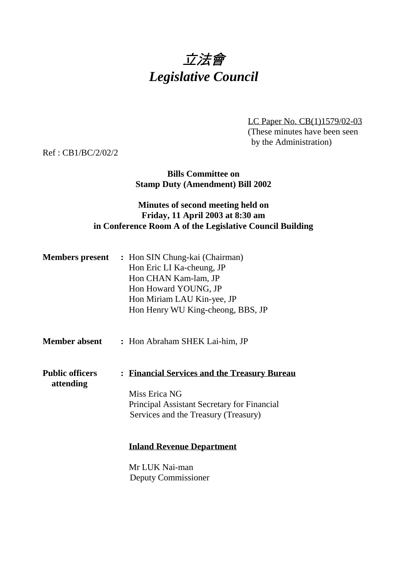# 立法會 *Legislative Council*

LC Paper No. CB(1)1579/02-03 (These minutes have been seen by the Administration)

Ref : CB1/BC/2/02/2

**Bills Committee on Stamp Duty (Amendment) Bill 2002**

#### **Minutes of second meeting held on Friday, 11 April 2003 at 8:30 am in Conference Room A of the Legislative Council Building**

| <b>Members present</b> | : Hon SIN Chung-kai (Chairman)    |
|------------------------|-----------------------------------|
|                        | Hon Eric LI Ka-cheung, JP         |
|                        | Hon CHAN Kam-lam, JP              |
|                        | Hon Howard YOUNG, JP              |
|                        | Hon Miriam LAU Kin-yee, JP        |
|                        | Hon Henry WU King-cheong, BBS, JP |

**Member absent :** Hon Abraham SHEK Lai-him, JP

**Public officers : Financial Services and the Treasury Bureau attending** Miss Erica NG

Principal Assistant Secretary for Financial Services and the Treasury (Treasury)

#### **Inland Revenue Department**

Mr LUK Nai-man Deputy Commissioner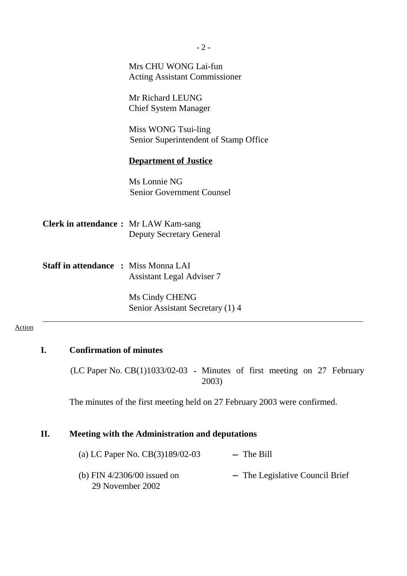|                                              | Mrs CHU WONG Lai-fun<br><b>Acting Assistant Commissioner</b> |
|----------------------------------------------|--------------------------------------------------------------|
|                                              | Mr Richard LEUNG<br><b>Chief System Manager</b>              |
|                                              | Miss WONG Tsui-ling<br>Senior Superintendent of Stamp Office |
|                                              | <b>Department of Justice</b>                                 |
|                                              | Ms Lonnie NG<br><b>Senior Government Counsel</b>             |
| <b>Clerk in attendance :</b> Mr LAW Kam-sang | <b>Deputy Secretary General</b>                              |
| <b>Staff in attendance : Miss Monna LAI</b>  | <b>Assistant Legal Adviser 7</b>                             |
|                                              | Ms Cindy CHENG<br>Senior Assistant Secretary (1) 4           |

### **I. Confirmation of minutes**

(LC Paper No. CB(1)1033/02-03 **-** Minutes of first meeting on 27 February 2003)

The minutes of the first meeting held on 27 February 2003 were confirmed.

## **II. Meeting with the Administration and deputations**

| (a) LC Paper No. $CB(3)189/02-03$                 | $-$ The Bill                    |
|---------------------------------------------------|---------------------------------|
| (b) FIN $4/2306/00$ issued on<br>29 November 2002 | - The Legislative Council Brief |

 $-2-$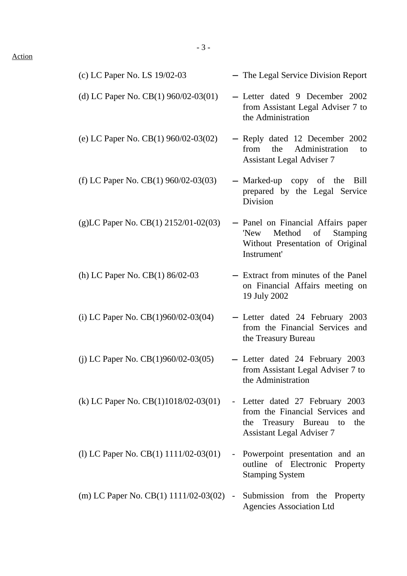| (c) LC Paper No. LS 19/02-03              | - The Legal Service Division Report                                                                                                  |
|-------------------------------------------|--------------------------------------------------------------------------------------------------------------------------------------|
| (d) LC Paper No. CB(1) 960/02-03(01)      | - Letter dated 9 December 2002<br>from Assistant Legal Adviser 7 to<br>the Administration                                            |
| (e) LC Paper No. CB(1) 960/02-03(02)      | - Reply dated 12 December 2002<br>the Administration<br>from<br>to<br><b>Assistant Legal Adviser 7</b>                               |
| (f) LC Paper No. CB(1) $960/02-03(03)$    | - Marked-up copy of the Bill<br>prepared by the Legal Service<br><b>Division</b>                                                     |
| $(g)$ LC Paper No. CB(1) 2152/01-02(03)   | - Panel on Financial Affairs paper<br>Method of<br><b>Stamping</b><br>'New<br>Without Presentation of Original<br>Instrument'        |
| (h) LC Paper No. $CB(1)$ 86/02-03         | - Extract from minutes of the Panel<br>on Financial Affairs meeting on<br>19 July 2002                                               |
| (i) LC Paper No. CB(1)960/02-03(04)       | - Letter dated 24 February 2003<br>from the Financial Services and<br>the Treasury Bureau                                            |
| (j) LC Paper No. CB(1)960/02-03(05)       | - Letter dated 24 February 2003<br>from Assistant Legal Adviser 7 to<br>the Administration                                           |
| (k) LC Paper No. CB(1)1018/02-03(01)      | - Letter dated 27 February 2003<br>from the Financial Services and<br>the Treasury Bureau to the<br><b>Assistant Legal Adviser 7</b> |
| (1) LC Paper No. CB(1) $1111/02-03(01)$   | - Powerpoint presentation and an<br>outline of Electronic Property<br><b>Stamping System</b>                                         |
| (m) LC Paper No. $CB(1)$ 1111/02-03(02) - | Submission from the Property<br><b>Agencies Association Ltd</b>                                                                      |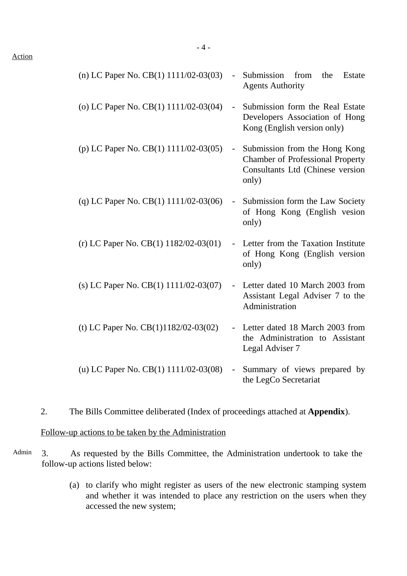| (n) LC Paper No. CB $(1)$ 1111/02-03 $(03)$ | Submission from<br>the<br>Estate<br><b>Agents Authority</b>                                                                  |
|---------------------------------------------|------------------------------------------------------------------------------------------------------------------------------|
| (o) LC Paper No. $CB(1)$ 1111/02-03(04)     | Submission form the Real Estate<br>$\overline{\phantom{0}}$<br>Developers Association of Hong<br>Kong (English version only) |
| (p) LC Paper No. CB(1) 1111/02-03(05)       | Submission from the Hong Kong<br><b>Chamber of Professional Property</b><br>Consultants Ltd (Chinese version<br>only)        |
| (q) LC Paper No. CB(1) $1111/02-03(06)$     | Submission form the Law Society<br>$\mathbb{Z}^{\mathbb{Z}}$<br>of Hong Kong (English vesion<br>only)                        |
| (r) LC Paper No. CB(1) $1182/02-03(01)$     | Letter from the Taxation Institute<br>$\sim$ $^{-1}$<br>of Hong Kong (English version<br>only)                               |
| (s) LC Paper No. $CB(1)$ 1111/02-03(07)     | Letter dated 10 March 2003 from<br>Assistant Legal Adviser 7 to the<br>Administration                                        |
| (t) LC Paper No. $CB(1)1182/02-03(02)$      | Letter dated 18 March 2003 from<br>the Administration to Assistant<br>Legal Adviser 7                                        |
| (u) LC Paper No. CB(1) 1111/02-03(08)       | Summary of views prepared by<br>the LegCo Secretariat                                                                        |

2. The Bills Committee deliberated (Index of proceedings attached at **Appendix**).

Follow-up actions to be taken by the Administration

- Admin 3. As requested by the Bills Committee, the Administration undertook to take the follow-up actions listed below:
	- (a) to clarify who might register as users of the new electronic stamping system and whether it was intended to place any restriction on the users when they accessed the new system;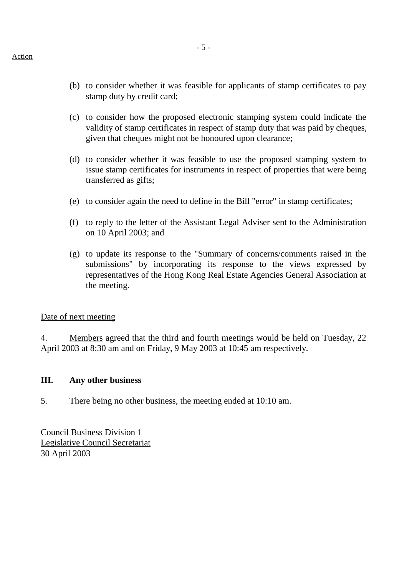- (b) to consider whether it was feasible for applicants of stamp certificates to pay stamp duty by credit card;
- (c) to consider how the proposed electronic stamping system could indicate the validity of stamp certificates in respect of stamp duty that was paid by cheques, given that cheques might not be honoured upon clearance;
- (d) to consider whether it was feasible to use the proposed stamping system to issue stamp certificates for instruments in respect of properties that were being transferred as gifts;
- (e) to consider again the need to define in the Bill "error" in stamp certificates;
- (f) to reply to the letter of the Assistant Legal Adviser sent to the Administration on 10 April 2003; and
- (g) to update its response to the "Summary of concerns/comments raised in the submissions" by incorporating its response to the views expressed by representatives of the Hong Kong Real Estate Agencies General Association at the meeting.

#### Date of next meeting

4. Members agreed that the third and fourth meetings would be held on Tuesday, 22 April 2003 at 8:30 am and on Friday, 9 May 2003 at 10:45 am respectively.

#### **III. Any other business**

5. There being no other business, the meeting ended at 10:10 am.

Council Business Division 1 Legislative Council Secretariat 30 April 2003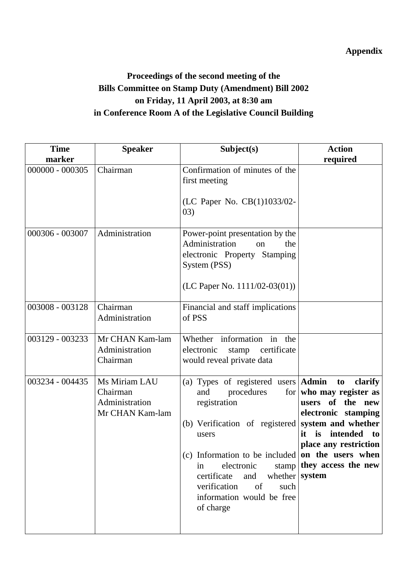## **Appendix**

## **Proceedings of the second meeting of the Bills Committee on Stamp Duty (Amendment) Bill 2002 on Friday, 11 April 2003, at 8:30 am in Conference Room A of the Legislative Council Building**

| <b>Time</b>       | <b>Speaker</b>                                                 | Subject(s)                                                                                                                                                                                                                                                                                                                              | <b>Action</b>                                                                                                                                                                                    |
|-------------------|----------------------------------------------------------------|-----------------------------------------------------------------------------------------------------------------------------------------------------------------------------------------------------------------------------------------------------------------------------------------------------------------------------------------|--------------------------------------------------------------------------------------------------------------------------------------------------------------------------------------------------|
| marker            |                                                                |                                                                                                                                                                                                                                                                                                                                         | required                                                                                                                                                                                         |
| $000000 - 000305$ | Chairman                                                       | Confirmation of minutes of the<br>first meeting<br>(LC Paper No. CB(1)1033/02-<br>(03)                                                                                                                                                                                                                                                  |                                                                                                                                                                                                  |
| 000306 - 003007   | Administration                                                 | Power-point presentation by the<br>Administration<br>the<br>on<br>electronic Property Stamping<br>System (PSS)<br>(LC Paper No. $1111/02-03(01)$ )                                                                                                                                                                                      |                                                                                                                                                                                                  |
| 003008 - 003128   | Chairman<br>Administration                                     | Financial and staff implications<br>of PSS                                                                                                                                                                                                                                                                                              |                                                                                                                                                                                                  |
| 003129 - 003233   | Mr CHAN Kam-lam<br>Administration<br>Chairman                  | Whether information in the<br>electronic<br>stamp certificate<br>would reveal private data                                                                                                                                                                                                                                              |                                                                                                                                                                                                  |
| 003234 - 004435   | Ms Miriam LAU<br>Chairman<br>Administration<br>Mr CHAN Kam-lam | (a) Types of registered users $\operatorname{Admin}$<br>procedures<br>and<br>registration<br>(b) Verification of registered<br>users<br>(c) Information to be included on the users when<br>electronic<br>in<br>certificate<br>whether $\sqrt{s}$ system<br>and<br>of<br>verification<br>such<br>information would be free<br>of charge | to<br>clarify<br>for who may register as<br>users of the<br>new<br>electronic stamping<br>system and whether<br>is<br>intended<br>it<br>to<br>place any restriction<br>stamp they access the new |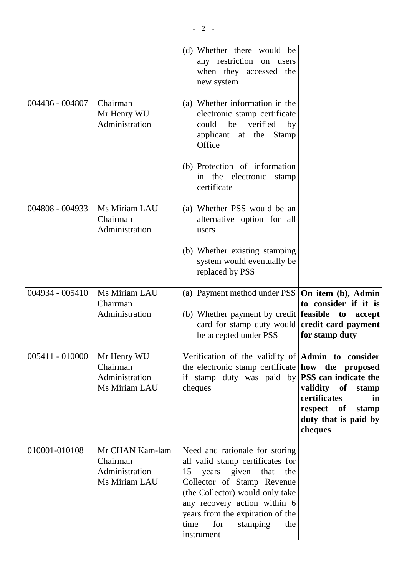|                 |                                                                | (d) Whether there would be<br>any restriction on users<br>when they accessed the<br>new system                                                                                                                                                                                              |                                                                                                                              |
|-----------------|----------------------------------------------------------------|---------------------------------------------------------------------------------------------------------------------------------------------------------------------------------------------------------------------------------------------------------------------------------------------|------------------------------------------------------------------------------------------------------------------------------|
| 004436 - 004807 | Chairman<br>Mr Henry WU<br>Administration                      | (a) Whether information in the<br>electronic stamp certificate<br>could<br>be<br>verified<br>by<br>applicant at the Stamp<br>Office                                                                                                                                                         |                                                                                                                              |
|                 |                                                                | (b) Protection of information<br>the electronic stamp<br>in<br>certificate                                                                                                                                                                                                                  |                                                                                                                              |
| 004808 - 004933 | Ms Miriam LAU<br>Chairman<br>Administration                    | (a) Whether PSS would be an<br>alternative option for all<br>users                                                                                                                                                                                                                          |                                                                                                                              |
|                 |                                                                | (b) Whether existing stamping<br>system would eventually be<br>replaced by PSS                                                                                                                                                                                                              |                                                                                                                              |
| 004934 - 005410 | Ms Miriam LAU<br>Chairman<br>Administration                    | (a) Payment method under PSS<br>(b) Whether payment by credit <b>feasible</b> to accept<br>card for stamp duty would<br>be accepted under PSS                                                                                                                                               | On item (b), Admin<br>to consider if it is<br>credit card payment<br>for stamp duty                                          |
| 005411 - 010000 | Mr Henry WU<br>Chairman<br>Administration<br>Ms Miriam LAU     | Verification of the validity of $Admin$ to consider<br>the electronic stamp certificate how the proposed<br>if stamp duty was paid by<br>cheques                                                                                                                                            | PSS can indicate the<br>validity of<br>stamp<br>certificates<br>in<br>respect of<br>stamp<br>duty that is paid by<br>cheques |
| 010001-010108   | Mr CHAN Kam-lam<br>Chairman<br>Administration<br>Ms Miriam LAU | Need and rationale for storing<br>all valid stamp certificates for<br>years given<br>that<br>15<br>the<br>Collector of Stamp Revenue<br>(the Collector) would only take<br>any recovery action within 6<br>years from the expiration of the<br>for<br>time<br>stamping<br>the<br>instrument |                                                                                                                              |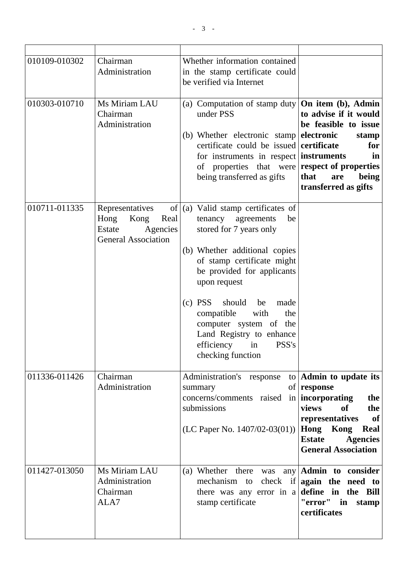| 010109-010302 | Chairman<br>Administration                                                                        | Whether information contained<br>in the stamp certificate could<br>be verified via Internet                                                                                                                                                                                                                                                                                   |                                                                                                                                                                                                  |
|---------------|---------------------------------------------------------------------------------------------------|-------------------------------------------------------------------------------------------------------------------------------------------------------------------------------------------------------------------------------------------------------------------------------------------------------------------------------------------------------------------------------|--------------------------------------------------------------------------------------------------------------------------------------------------------------------------------------------------|
| 010303-010710 | Ms Miriam LAU<br>Chairman<br>Administration                                                       | (a) Computation of stamp duty<br>under PSS<br>(b) Whether electronic stamp<br>certificate could be issued<br>for instruments in respect instruments<br>of properties that were<br>being transferred as gifts                                                                                                                                                                  | On item (b), Admin<br>to advise if it would<br>be feasible to issue<br>electronic<br>stamp<br>certificate<br>for<br>in<br>respect of properties<br>that<br>being<br>are<br>transferred as gifts  |
| 010711-011335 | Representatives<br>of<br>Kong<br>Hong<br>Real<br>Estate<br>Agencies<br><b>General Association</b> | (a) Valid stamp certificates of<br>tenancy agreements<br>be<br>stored for 7 years only<br>(b) Whether additional copies<br>of stamp certificate might<br>be provided for applicants<br>upon request<br>$(c)$ PSS<br>should<br>made<br>be<br>compatible<br>with<br>the<br>computer system of the<br>Land Registry to enhance<br>efficiency<br>PSS's<br>in<br>checking function |                                                                                                                                                                                                  |
| 011336-011426 | Chairman<br>Administration                                                                        | Administration's response<br>to<br>summary<br>concerns/comments raised<br>$\left  \text{in} \right $<br>submissions<br>(LC Paper No. $1407/02-03(01)$ )                                                                                                                                                                                                                       | Admin to update its<br>of response<br>incorporating<br>the<br>views<br>of<br>the<br>of<br>representatives<br>Hong Kong<br>Real<br><b>Estate</b><br><b>Agencies</b><br><b>General Association</b> |
| 011427-013050 | Ms Miriam LAU<br>Administration<br>Chairman<br>ALA7                                               | (a) Whether there<br>was<br>mechanism to<br>there was any error in a<br>stamp certificate                                                                                                                                                                                                                                                                                     | any $\bf{Admin}$ to consider<br>check if again the need to<br>define in the Bill<br>"error" in<br>stamp<br>certificates                                                                          |